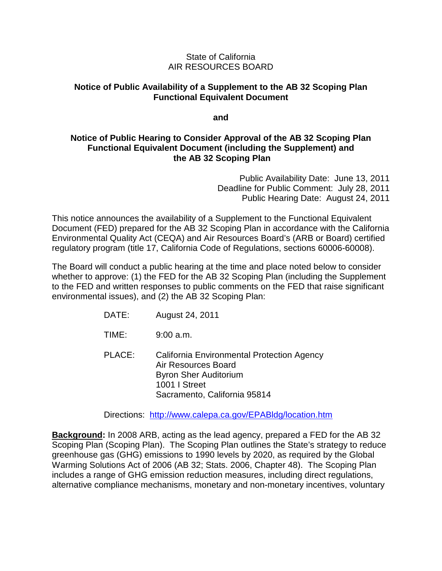### State of California AIR RESOURCES BOARD

### **Notice of Public Availability of a Supplement to the AB 32 Scoping Plan Functional Equivalent Document**

#### **and**

## **Notice of Public Hearing to Consider Approval of the AB 32 Scoping Plan Functional Equivalent Document (including the Supplement) and the AB 32 Scoping Plan**

Public Availability Date: June 13, 2011 Deadline for Public Comment: July 28, 2011 Public Hearing Date: August 24, 2011

This notice announces the availability of a Supplement to the Functional Equivalent Document (FED) prepared for the AB 32 Scoping Plan in accordance with the California Environmental Quality Act (CEQA) and Air Resources Board's (ARB or Board) certified regulatory program (title 17, California Code of Regulations, sections 60006-60008).

The Board will conduct a public hearing at the time and place noted below to consider whether to approve: (1) the FED for the AB 32 Scoping Plan (including the Supplement to the FED and written responses to public comments on the FED that raise significant environmental issues), and (2) the AB 32 Scoping Plan:

- DATE: August 24, 2011
- TIME: 9:00 a.m.

PLACE: California Environmental Protection Agency Air Resources Board Byron Sher Auditorium 1001 I Street Sacramento, California 95814

Directions: <http://www.calepa.ca.gov/EPABldg/location.htm>

**Background:** In 2008 ARB, acting as the lead agency, prepared a FED for the AB 32 Scoping Plan (Scoping Plan). The Scoping Plan outlines the State's strategy to reduce greenhouse gas (GHG) emissions to 1990 levels by 2020, as required by the Global Warming Solutions Act of 2006 (AB 32; Stats. 2006, Chapter 48). The Scoping Plan includes a range of GHG emission reduction measures, including direct regulations, alternative compliance mechanisms, monetary and non-monetary incentives, voluntary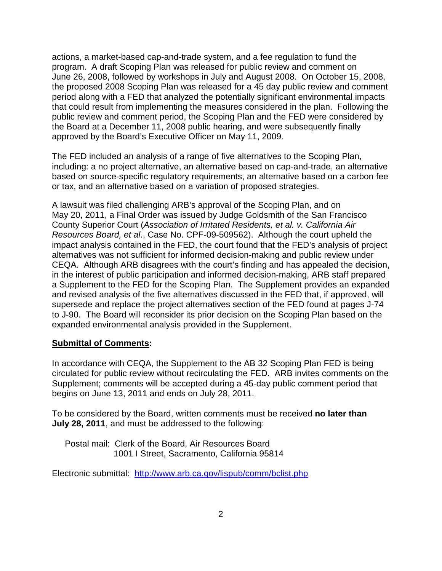actions, a market-based cap-and-trade system, and a fee regulation to fund the program. A draft Scoping Plan was released for public review and comment on June 26, 2008, followed by workshops in July and August 2008. On October 15, 2008, the proposed 2008 Scoping Plan was released for a 45 day public review and comment period along with a FED that analyzed the potentially significant environmental impacts that could result from implementing the measures considered in the plan. Following the public review and comment period, the Scoping Plan and the FED were considered by the Board at a December 11, 2008 public hearing, and were subsequently finally approved by the Board's Executive Officer on May 11, 2009.

The FED included an analysis of a range of five alternatives to the Scoping Plan, including: a no project alternative, an alternative based on cap-and-trade, an alternative based on source-specific regulatory requirements, an alternative based on a carbon fee or tax, and an alternative based on a variation of proposed strategies.

A lawsuit was filed challenging ARB's approval of the Scoping Plan, and on May 20, 2011, a Final Order was issued by Judge Goldsmith of the San Francisco County Superior Court (*Association of Irritated Residents, et al. v. California Air Resources Board, et al*., Case No. CPF-09-509562). Although the court upheld the impact analysis contained in the FED, the court found that the FED's analysis of project alternatives was not sufficient for informed decision-making and public review under CEQA. Although ARB disagrees with the court's finding and has appealed the decision, in the interest of public participation and informed decision-making, ARB staff prepared a Supplement to the FED for the Scoping Plan. The Supplement provides an expanded and revised analysis of the five alternatives discussed in the FED that, if approved, will supersede and replace the project alternatives section of the FED found at pages J-74 to J-90. The Board will reconsider its prior decision on the Scoping Plan based on the expanded environmental analysis provided in the Supplement.

#### **Submittal of Comments:**

In accordance with CEQA, the Supplement to the AB 32 Scoping Plan FED is being circulated for public review without recirculating the FED. ARB invites comments on the Supplement; comments will be accepted during a 45-day public comment period that begins on June 13, 2011 and ends on July 28, 2011.

To be considered by the Board, written comments must be received **no later than July 28, 2011**, and must be addressed to the following:

Postal mail: Clerk of the Board, Air Resources Board 1001 I Street, Sacramento, California 95814

Electronic submittal: <http://www.arb.ca.gov/lispub/comm/bclist.php>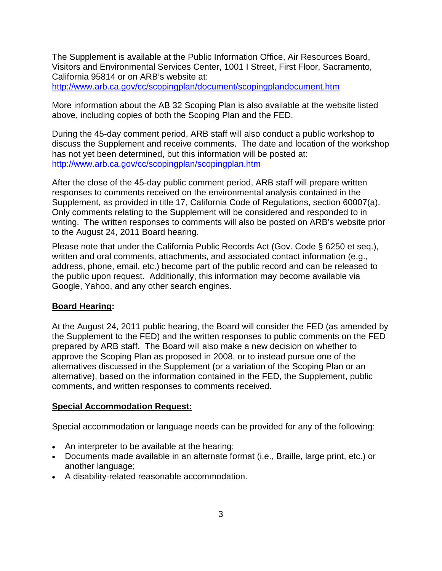The Supplement is available at the Public Information Office, Air Resources Board, Visitors and Environmental Services Center, 1001 I Street, First Floor, Sacramento, California 95814 or on ARB's website at:

<http://www.arb.ca.gov/cc/scopingplan/document/scopingplandocument.htm>

More information about the AB 32 Scoping Plan is also available at the website listed above, including copies of both the Scoping Plan and the FED.

During the 45-day comment period, ARB staff will also conduct a public workshop to discuss the Supplement and receive comments. The date and location of the workshop has not yet been determined, but this information will be posted at: <http://www.arb.ca.gov/cc/scopingplan/scopingplan.htm>

After the close of the 45-day public comment period, ARB staff will prepare written responses to comments received on the environmental analysis contained in the Supplement, as provided in title 17, California Code of Regulations, section 60007(a). Only comments relating to the Supplement will be considered and responded to in writing. The written responses to comments will also be posted on ARB's website prior to the August 24, 2011 Board hearing.

Please note that under the California Public Records Act (Gov. Code § 6250 et seq.), written and oral comments, attachments, and associated contact information (e.g., address, phone, email, etc.) become part of the public record and can be released to the public upon request. Additionally, this information may become available via Google, Yahoo, and any other search engines.

### **Board Hearing:**

At the August 24, 2011 public hearing, the Board will consider the FED (as amended by the Supplement to the FED) and the written responses to public comments on the FED prepared by ARB staff. The Board will also make a new decision on whether to approve the Scoping Plan as proposed in 2008, or to instead pursue one of the alternatives discussed in the Supplement (or a variation of the Scoping Plan or an alternative), based on the information contained in the FED, the Supplement, public comments, and written responses to comments received.

### **Special Accommodation Request:**

Special accommodation or language needs can be provided for any of the following:

- An interpreter to be available at the hearing;
- Documents made available in an alternate format (i.e., Braille, large print, etc.) or another language;
- A disability-related reasonable accommodation.